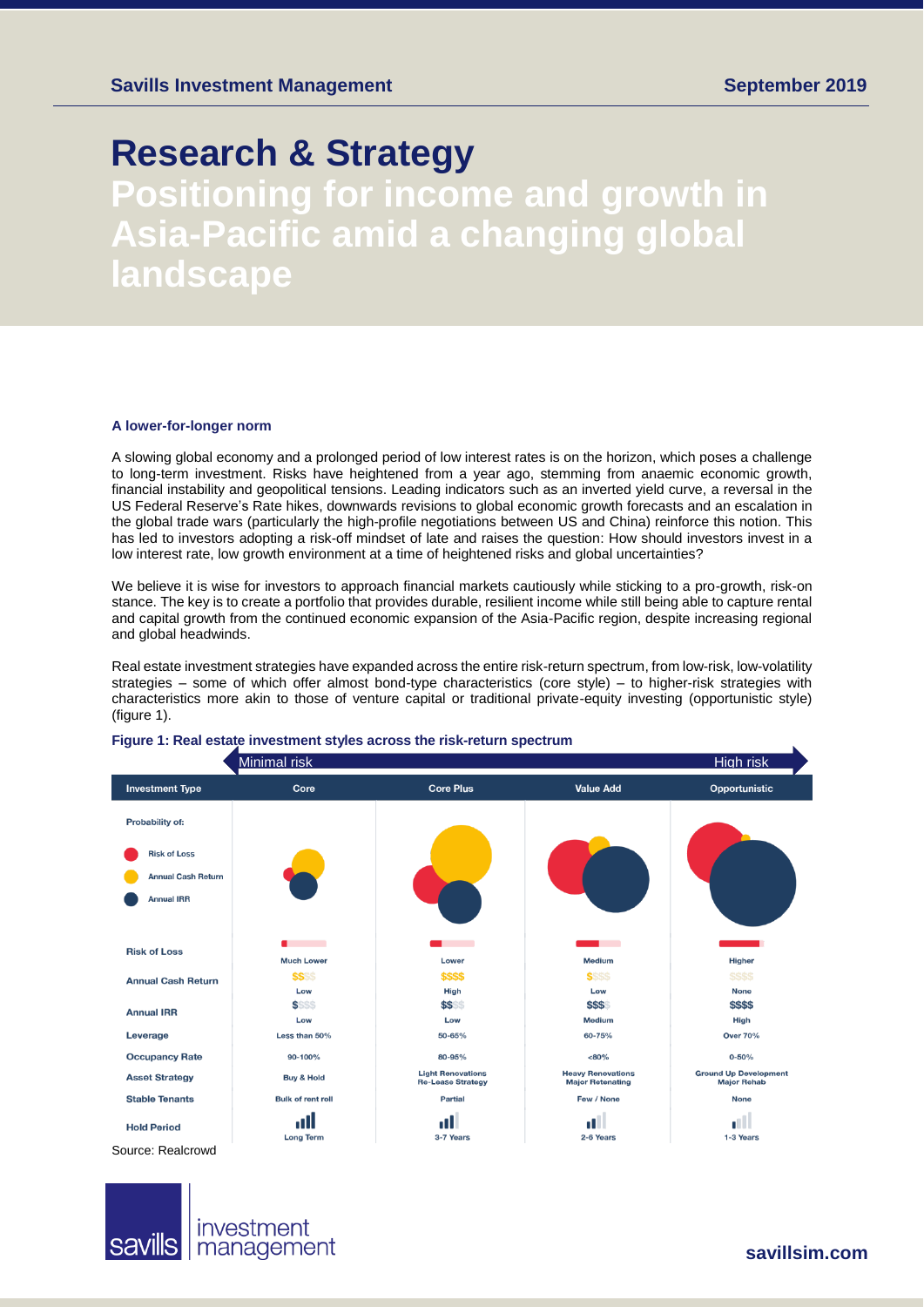# **Research & Strategy**

**Positioning for income and growth in Asia-Pacific amid a changing global landscape**

#### **A lower-for-longer norm**

A slowing global economy and a prolonged period of low interest rates is on the horizon, which poses a challenge to long-term investment. Risks have heightened from a year ago, stemming from anaemic economic growth, financial instability and geopolitical tensions. Leading indicators such as an inverted yield curve, a reversal in the US Federal Reserve's Rate hikes, downwards revisions to global economic growth forecasts and an escalation in the global trade wars (particularly the high-profile negotiations between US and China) reinforce this notion. This has led to investors adopting a risk-off mindset of late and raises the question: How should investors invest in a low interest rate, low growth environment at a time of heightened risks and global uncertainties?

We believe it is wise for investors to approach financial markets cautiously while sticking to a pro-growth, risk-on stance. The key is to create a portfolio that provides durable, resilient income while still being able to capture rental and capital growth from the continued economic expansion of the Asia-Pacific region, despite increasing regional and global headwinds.

Real estate investment strategies have expanded across the entire risk-return spectrum, from low-risk, low-volatility strategies – some of which offer almost bond-type characteristics (core style) – to higher-risk strategies with characteristics more akin to those of venture capital or traditional private-equity investing (opportunistic style) (figure 1).



#### **Figure 1: Real estate investment styles across the risk-return spectrum**



# **savillsim.com**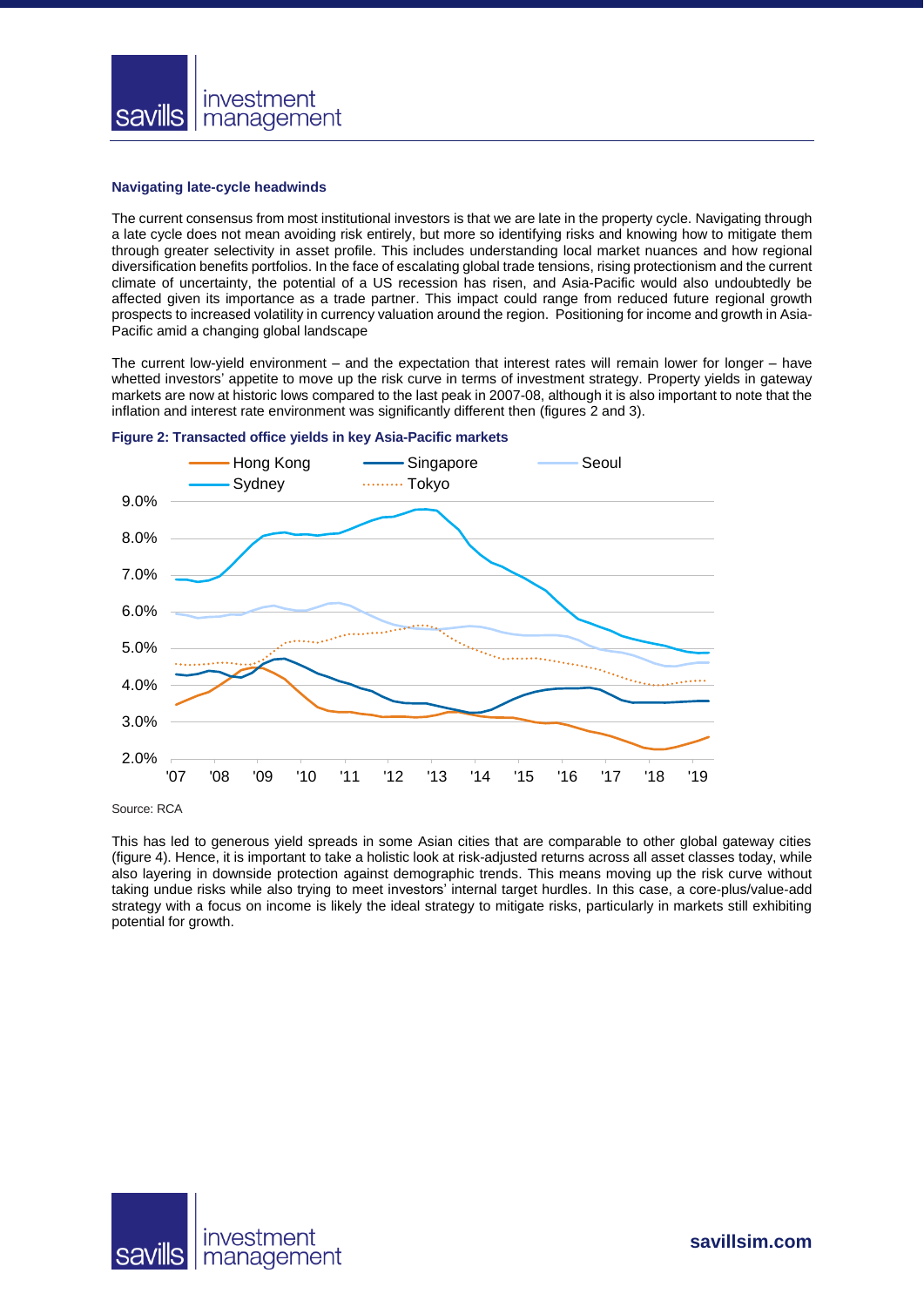

#### **Navigating late-cycle headwinds**

The current consensus from most institutional investors is that we are late in the property cycle. Navigating through a late cycle does not mean avoiding risk entirely, but more so identifying risks and knowing how to mitigate them through greater selectivity in asset profile. This includes understanding local market nuances and how regional diversification benefits portfolios. In the face of escalating global trade tensions, rising protectionism and the current climate of uncertainty, the potential of a US recession has risen, and Asia-Pacific would also undoubtedly be affected given its importance as a trade partner. This impact could range from reduced future regional growth prospects to increased volatility in currency valuation around the region. Positioning for income and growth in Asia-Pacific amid a changing global landscape

The current low-yield environment – and the expectation that interest rates will remain lower for longer – have whetted investors' appetite to move up the risk curve in terms of investment strategy. Property yields in gateway markets are now at historic lows compared to the last peak in 2007-08, although it is also important to note that the inflation and interest rate environment was significantly different then (figures 2 and 3).



**Figure 2: Transacted office yields in key Asia-Pacific markets**

Source: RCA

This has led to generous yield spreads in some Asian cities that are comparable to other global gateway cities (figure 4). Hence, it is important to take a holistic look at risk-adjusted returns across all asset classes today, while also layering in downside protection against demographic trends. This means moving up the risk curve without taking undue risks while also trying to meet investors' internal target hurdles. In this case, a core-plus/value-add strategy with a focus on income is likely the ideal strategy to mitigate risks, particularly in markets still exhibiting potential for growth.

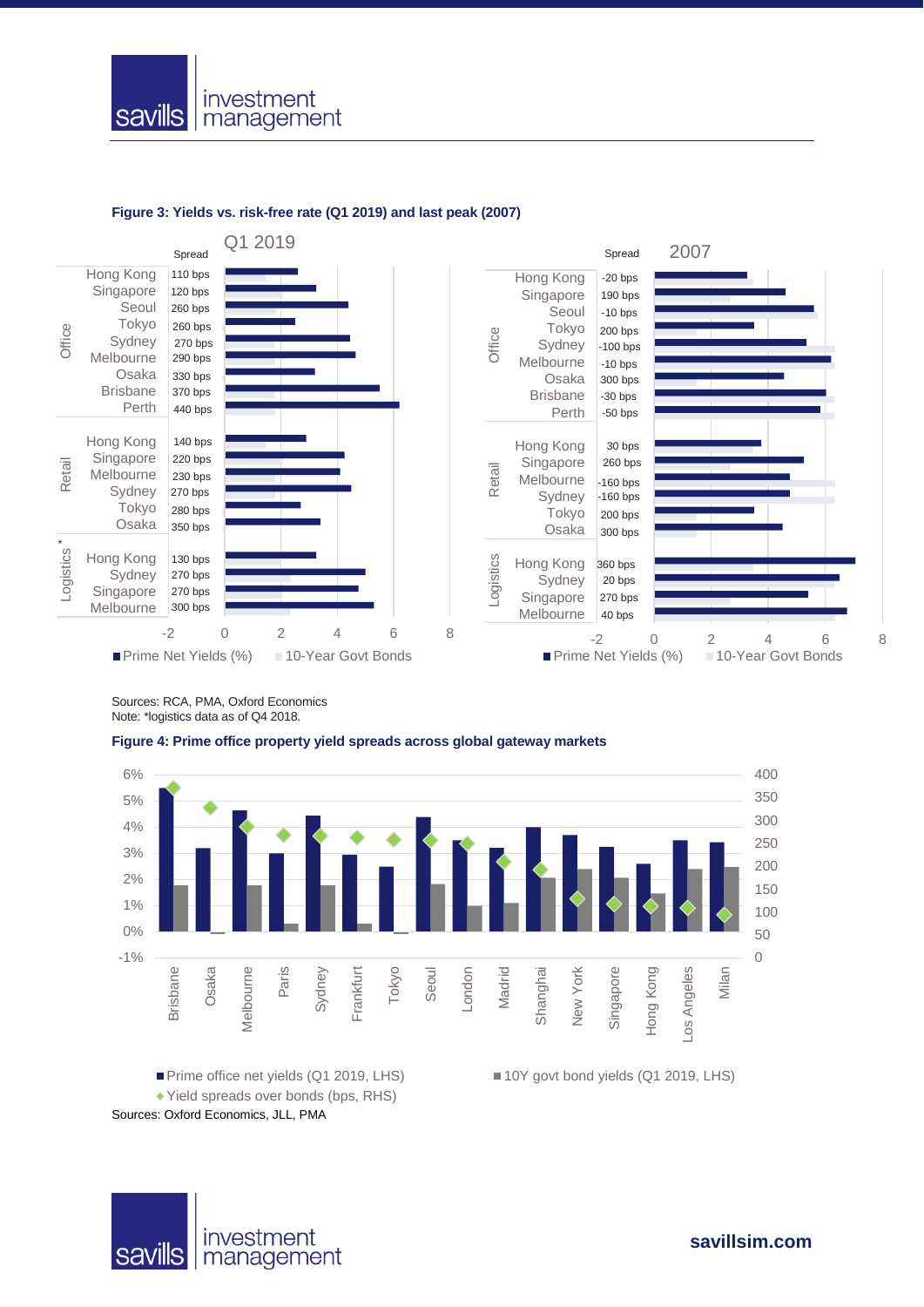

## **Figure 3: Yields vs. risk-free rate (Q1 2019) and last peak (2007)**



Sources: RCA, PMA, Oxford Economics Note: \*logistics data as of Q4 2018.





Sources: Oxford Economics, JLL, PMA ■ Prime office net yields (Q1 2019, LHS) ■ 10Y govt bond yields (Q1 2019, LHS) Yield spreads over bonds (bps, RHS)

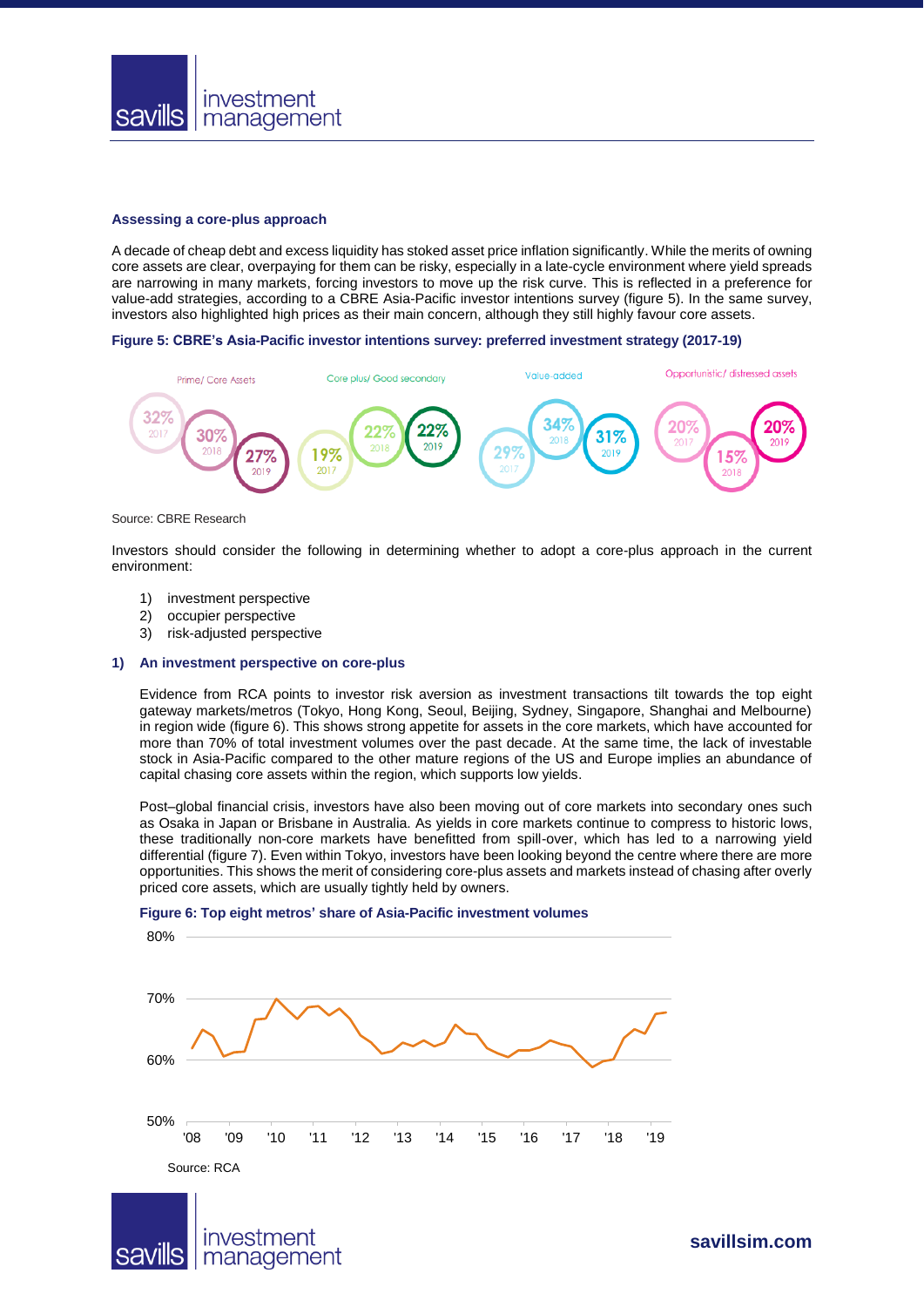

#### **Assessing a core-plus approach**

A decade of cheap debt and excess liquidity has stoked asset price inflation significantly. While the merits of owning core assets are clear, overpaying for them can be risky, especially in a late-cycle environment where yield spreads are narrowing in many markets, forcing investors to move up the risk curve. This is reflected in a preference for value-add strategies, according to a CBRE Asia-Pacific investor intentions survey (figure 5). In the same survey, investors also highlighted high prices as their main concern, although they still highly favour core assets.

#### **Figure 5: CBRE's Asia-Pacific investor intentions survey: preferred investment strategy (2017-19)**



#### Source: CBRE Research

Investors should consider the following in determining whether to adopt a core-plus approach in the current environment:

- 1) investment perspective
- 2) occupier perspective
- 3) risk-adjusted perspective

#### **1) An investment perspective on core-plus**

investment management

Evidence from RCA points to investor risk aversion as investment transactions tilt towards the top eight gateway markets/metros (Tokyo, Hong Kong, Seoul, Beijing, Sydney, Singapore, Shanghai and Melbourne) in region wide (figure 6). This shows strong appetite for assets in the core markets, which have accounted for more than 70% of total investment volumes over the past decade. At the same time, the lack of investable stock in Asia-Pacific compared to the other mature regions of the US and Europe implies an abundance of capital chasing core assets within the region, which supports low yields.

Post-global financial crisis, investors have also been moving out of core markets into secondary ones such as Osaka in Japan or Brisbane in Australia. As yields in core markets continue to compress to historic lows, these traditionally non-core markets have benefitted from spill-over, which has led to a narrowing yield differential (figure 7). Even within Tokyo, investors have been looking beyond the centre where there are more opportunities. This shows the merit of considering core-plus assets and markets instead of chasing after overly priced core assets, which are usually tightly held by owners.



#### **Figure 6: Top eight metros' share of Asia-Pacific investment volumes**

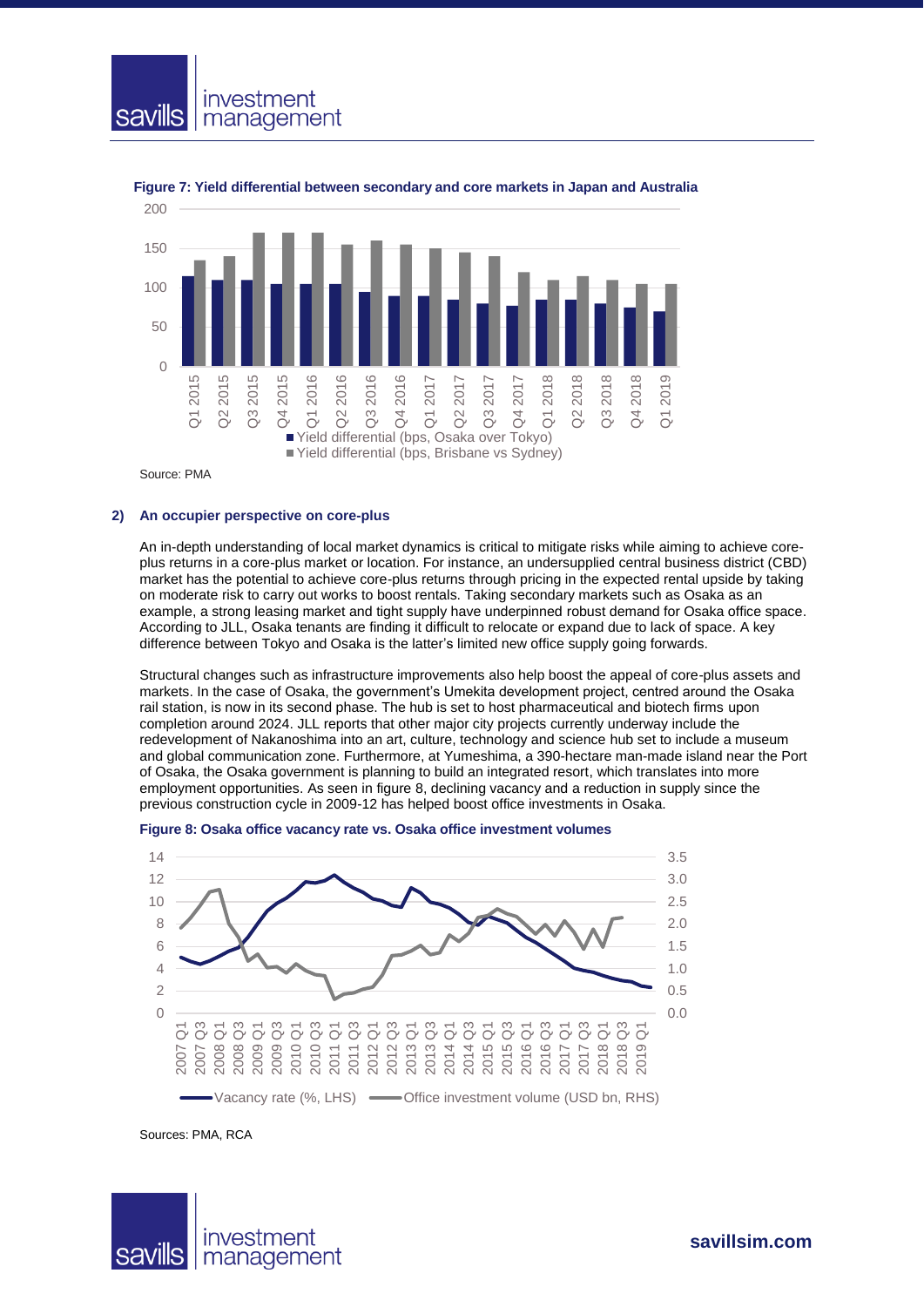



#### **Figure 7: Yield differential between secondary and core markets in Japan and Australia**

Source: PMA

#### **2) An occupier perspective on core-plus**

An in-depth understanding of local market dynamics is critical to mitigate risks while aiming to achieve coreplus returns in a core-plus market or location. For instance, an undersupplied central business district (CBD) market has the potential to achieve core-plus returns through pricing in the expected rental upside by taking on moderate risk to carry out works to boost rentals. Taking secondary markets such as Osaka as an example, a strong leasing market and tight supply have underpinned robust demand for Osaka office space. According to JLL, Osaka tenants are finding it difficult to relocate or expand due to lack of space. A key difference between Tokyo and Osaka is the latter's limited new office supply going forwards.

Structural changes such as infrastructure improvements also help boost the appeal of core-plus assets and markets. In the case of Osaka, the government's Umekita development project, centred around the Osaka rail station, is now in its second phase. The hub is set to host pharmaceutical and biotech firms upon completion around 2024. JLL reports that other major city projects currently underway include the redevelopment of Nakanoshima into an art, culture, technology and science hub set to include a museum and global communication zone. Furthermore, at Yumeshima, a 390-hectare man-made island near the Port of Osaka, the Osaka government is planning to build an integrated resort, which translates into more employment opportunities. As seen in figure 8, declining vacancy and a reduction in supply since the previous construction cycle in 2009-12 has helped boost office investments in Osaka.



**Figure 8: Osaka office vacancy rate vs. Osaka office investment volumes**

Sources: PMA, RCA

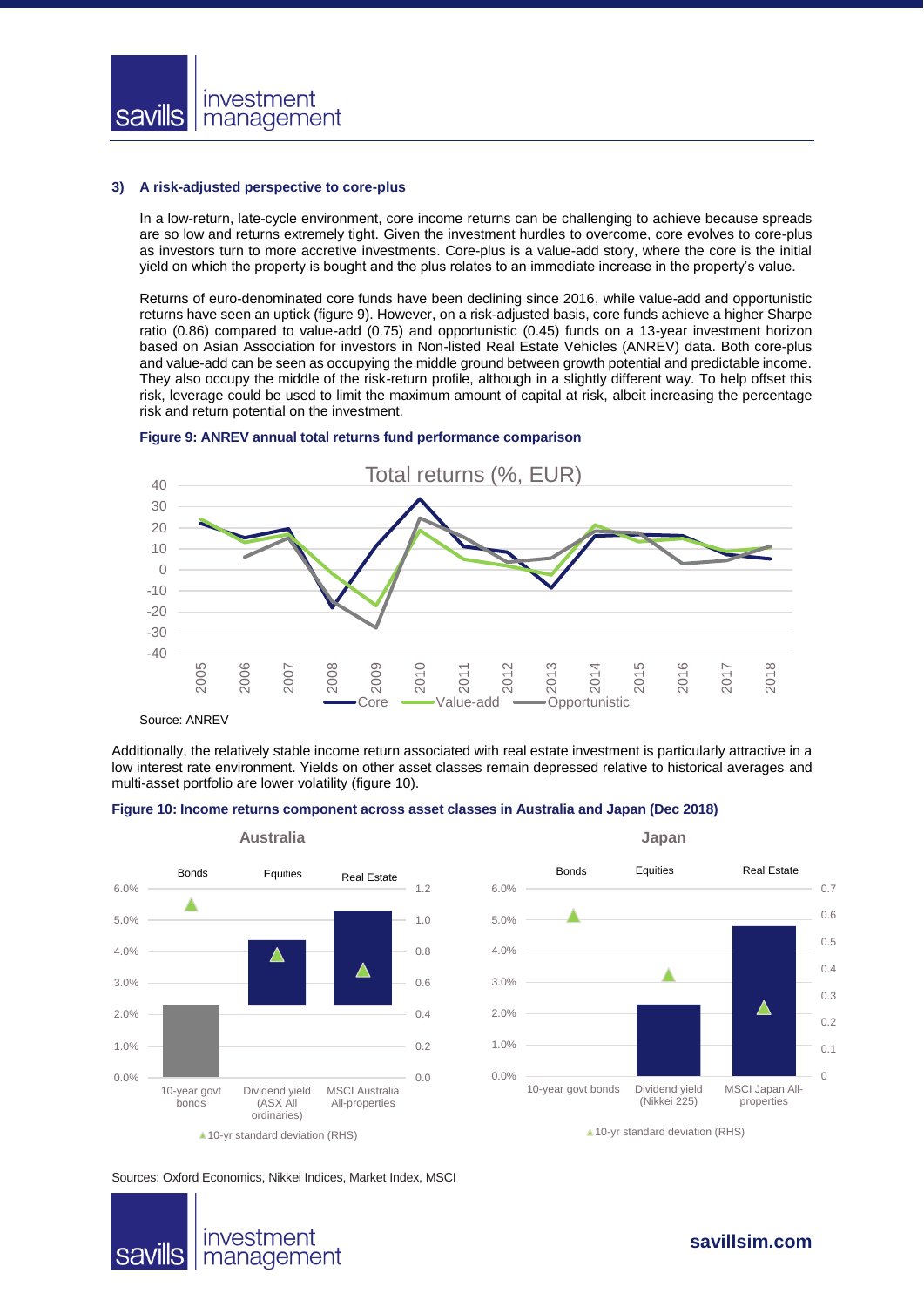

#### **3) A risk-adjusted perspective to core-plus**

In a low-return, late-cycle environment, core income returns can be challenging to achieve because spreads are so low and returns extremely tight. Given the investment hurdles to overcome, core evolves to core-plus as investors turn to more accretive investments. Core-plus is a value-add story, where the core is the initial yield on which the property is bought and the plus relates to an immediate increase in the property's value.

Returns of euro-denominated core funds have been declining since 2016, while value-add and opportunistic returns have seen an uptick (figure 9). However, on a risk-adjusted basis, core funds achieve a higher Sharpe ratio (0.86) compared to value-add (0.75) and opportunistic (0.45) funds on a 13-year investment horizon based on Asian Association for investors in Non-listed Real Estate Vehicles (ANREV) data. Both core-plus and value-add can be seen as occupying the middle ground between growth potential and predictable income. They also occupy the middle of the risk-return profile, although in a slightly different way. To help offset this risk, leverage could be used to limit the maximum amount of capital at risk, albeit increasing the percentage risk and return potential on the investment.



#### **Figure 9: ANREV annual total returns fund performance comparison**

Source: ANREV

Additionally, the relatively stable income return associated with real estate investment is particularly attractive in a low interest rate environment. Yields on other asset classes remain depressed relative to historical averages and multi-asset portfolio are lower volatility (figure 10).







Sources: Oxford Economics, Nikkei Indices, Market Index, MSCI

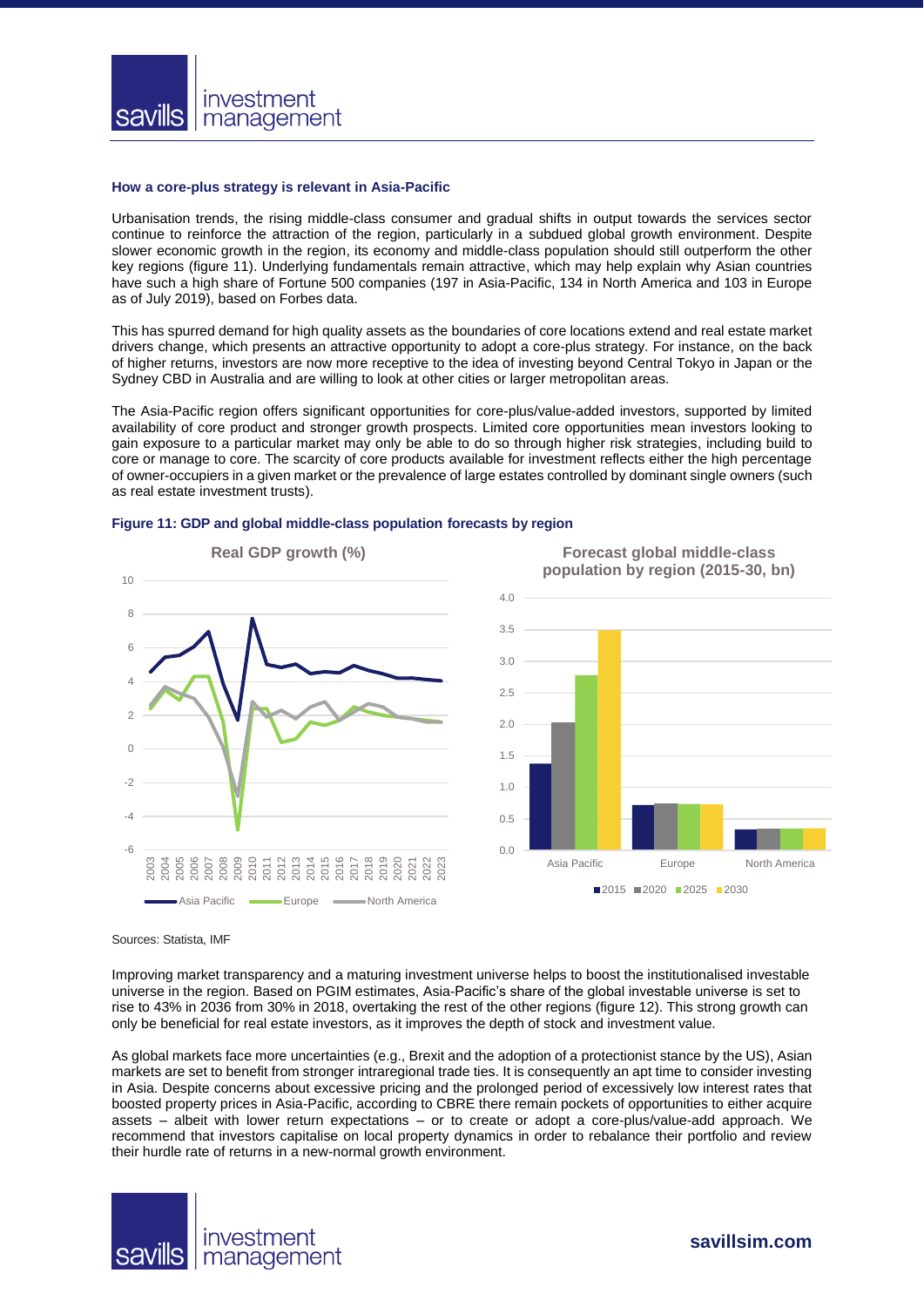

#### **How a core-plus strategy is relevant in Asia-Pacific**

Urbanisation trends, the rising middle-class consumer and gradual shifts in output towards the services sector continue to reinforce the attraction of the region, particularly in a subdued global growth environment. Despite slower economic growth in the region, its economy and middle-class population should still outperform the other key regions (figure 11). Underlying fundamentals remain attractive, which may help explain why Asian countries have such a high share of Fortune 500 companies (197 in Asia-Pacific, 134 in North America and 103 in Europe as of July 2019), based on Forbes data.

This has spurred demand for high quality assets as the boundaries of core locations extend and real estate market drivers change, which presents an attractive opportunity to adopt a core-plus strategy. For instance, on the back of higher returns, investors are now more receptive to the idea of investing beyond Central Tokyo in Japan or the Sydney CBD in Australia and are willing to look at other cities or larger metropolitan areas.

The Asia-Pacific region offers significant opportunities for core-plus/value-added investors, supported by limited availability of core product and stronger growth prospects. Limited core opportunities mean investors looking to gain exposure to a particular market may only be able to do so through higher risk strategies, including build to core or manage to core. The scarcity of core products available for investment reflects either the high percentage of owner-occupiers in a given market or the prevalence of large estates controlled by dominant single owners (such as real estate investment trusts).



**Figure 11: GDP and global middle-class population forecasts by region**



**Forecast global middle-class** 

Asia Pacific Europe North America

 $2015$  2020 2025 2030

Sources: Statista, IMF

Improving market transparency and a maturing investment universe helps to boost the institutionalised investable universe in the region. Based on PGIM estimates, Asia-Pacific's share of the global investable universe is set to rise to 43% in 2036 from 30% in 2018, overtaking the rest of the other regions (figure 12). This strong growth can only be beneficial for real estate investors, as it improves the depth of stock and investment value.

 $0.0$ 0.5

As global markets face more uncertainties (e.g., Brexit and the adoption of a protectionist stance by the US), Asian markets are set to benefit from stronger intraregional trade ties. It is consequently an apt time to consider investing in Asia. Despite concerns about excessive pricing and the prolonged period of excessively low interest rates that boosted property prices in Asia-Pacific, according to CBRE there remain pockets of opportunities to either acquire assets – albeit with lower return expectations – or to create or adopt a core-plus/value-add approach. We recommend that investors capitalise on local property dynamics in order to rebalance their portfolio and review their hurdle rate of returns in a new-normal growth environment.

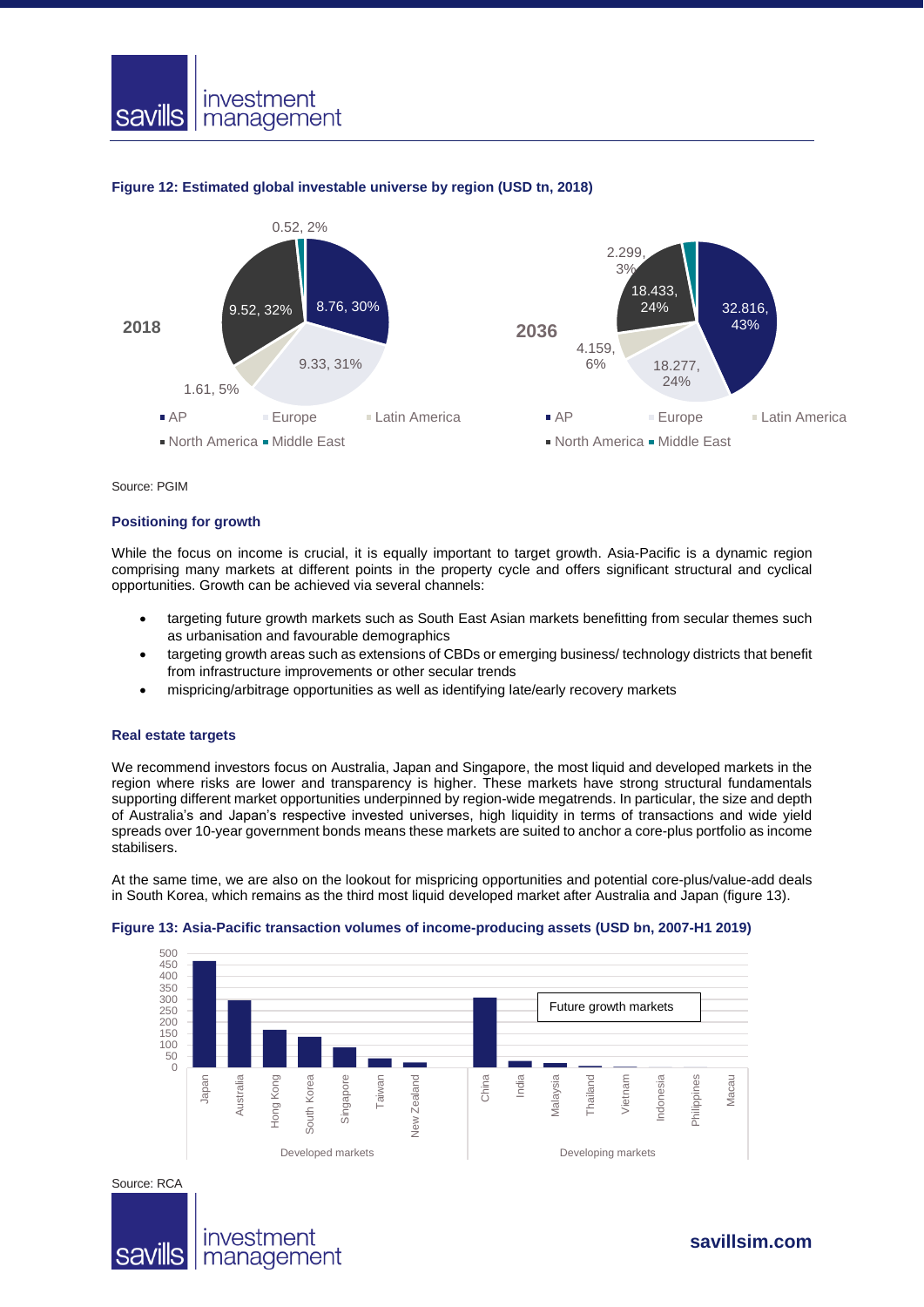



### **Figure 12: Estimated global investable universe by region (USD tn, 2018)**

Source: PGIM

#### **Positioning for growth**

While the focus on income is crucial, it is equally important to target growth. Asia-Pacific is a dynamic region comprising many markets at different points in the property cycle and offers significant structural and cyclical opportunities. Growth can be achieved via several channels:

- targeting future growth markets such as South East Asian markets benefitting from secular themes such as urbanisation and favourable demographics
- targeting growth areas such as extensions of CBDs or emerging business/ technology districts that benefit from infrastructure improvements or other secular trends
- mispricing/arbitrage opportunities as well as identifying late/early recovery markets

#### **Real estate targets**

We recommend investors focus on Australia, Japan and Singapore, the most liquid and developed markets in the region where risks are lower and transparency is higher. These markets have strong structural fundamentals supporting different market opportunities underpinned by region-wide megatrends. In particular, the size and depth of Australia's and Japan's respective invested universes, high liquidity in terms of transactions and wide yield spreads over 10-year government bonds means these markets are suited to anchor a core-plus portfolio as income stabilisers.

At the same time, we are also on the lookout for mispricing opportunities and potential core-plus/value-add deals in South Korea, which remains as the third most liquid developed market after Australia and Japan (figure 13).







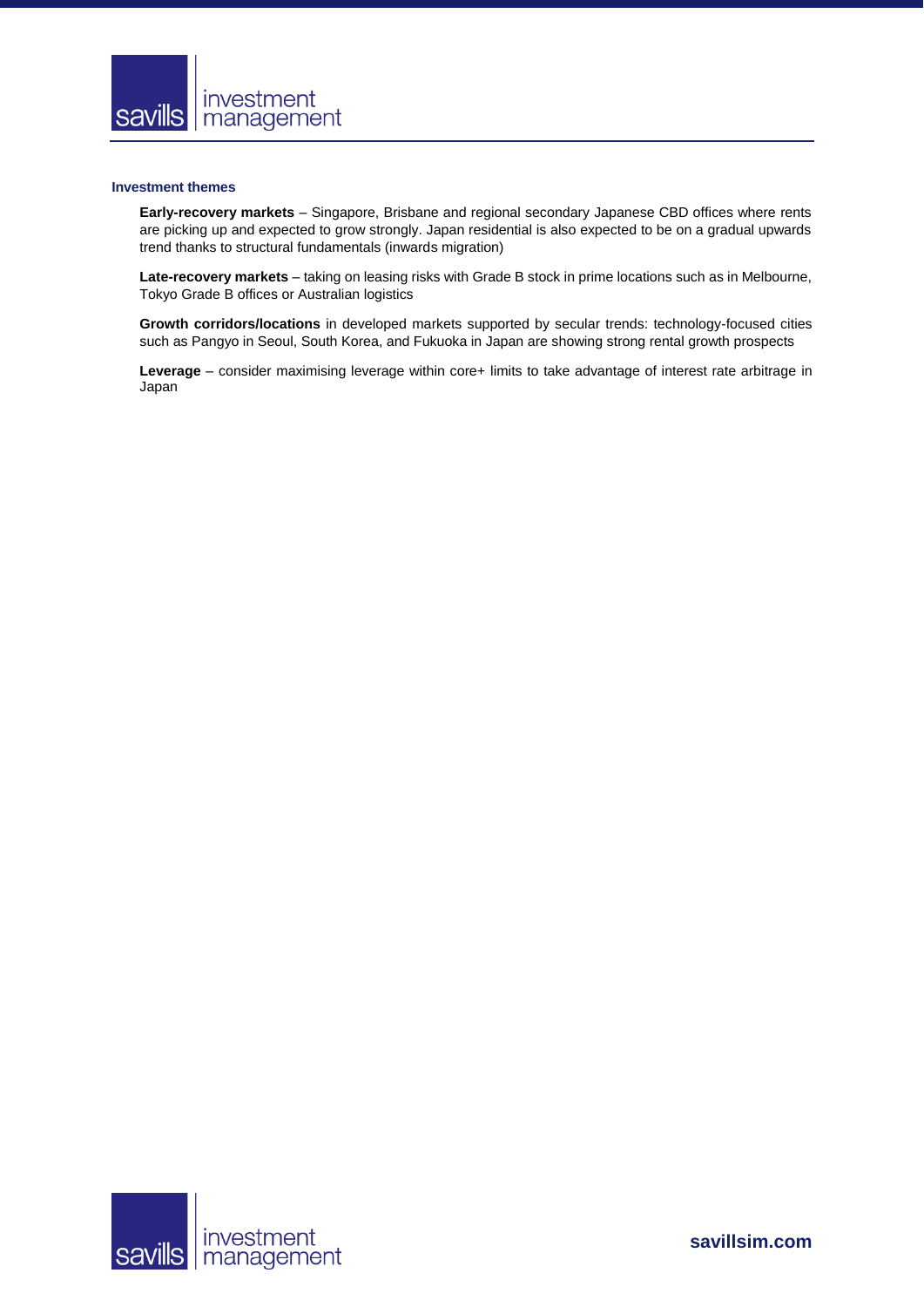

#### **Investment themes**

**Early-recovery markets** – Singapore, Brisbane and regional secondary Japanese CBD offices where rents are picking up and expected to grow strongly. Japan residential is also expected to be on a gradual upwards trend thanks to structural fundamentals (inwards migration)

**Late-recovery markets** – taking on leasing risks with Grade B stock in prime locations such as in Melbourne, Tokyo Grade B offices or Australian logistics

**Growth corridors/locations** in developed markets supported by secular trends: technology-focused cities such as Pangyo in Seoul, South Korea, and Fukuoka in Japan are showing strong rental growth prospects

Leverage – consider maximising leverage within core+ limits to take advantage of interest rate arbitrage in Japan